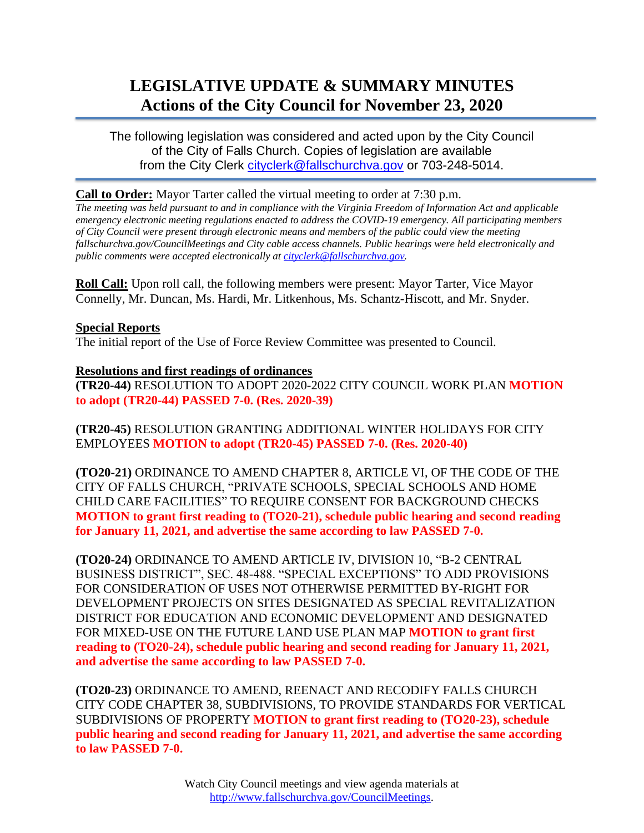# **LEGISLATIVE UPDATE & SUMMARY MINUTES Actions of the City Council for November 23, 2020**

The following legislation was considered and acted upon by the City Council of the City of Falls Church. Copies of legislation are available from the City Clerk [cityclerk@fallschurchva.gov](mailto:cityclerk@fallschurchva.gov) or 703-248-5014.

#### **Call to Order:** Mayor Tarter called the virtual meeting to order at 7:30 p.m.

*The meeting was held pursuant to and in compliance with the Virginia Freedom of Information Act and applicable emergency electronic meeting regulations enacted to address the COVID-19 emergency. All participating members of City Council were present through electronic means and members of the public could view the meeting fallschurchva.gov/CouncilMeetings and City cable access channels. Public hearings were held electronically and public comments were accepted electronically a[t cityclerk@fallschurchva.gov.](mailto:cityclerk@fallschurchva.gov)*

**Roll Call:** Upon roll call, the following members were present: Mayor Tarter, Vice Mayor Connelly, Mr. Duncan, Ms. Hardi, Mr. Litkenhous, Ms. Schantz-Hiscott, and Mr. Snyder.

### **Special Reports**

The initial report of the Use of Force Review Committee was presented to Council.

### **Resolutions and first readings of ordinances**

**(TR20-44)** RESOLUTION TO ADOPT 2020-2022 CITY COUNCIL WORK PLAN **MOTION to adopt (TR20-44) PASSED 7-0. (Res. 2020-39)**

**(TR20-45)** RESOLUTION GRANTING ADDITIONAL WINTER HOLIDAYS FOR CITY EMPLOYEES **MOTION to adopt (TR20-45) PASSED 7-0. (Res. 2020-40)**

**(TO20-21)** ORDINANCE TO AMEND CHAPTER 8, ARTICLE VI, OF THE CODE OF THE CITY OF FALLS CHURCH, "PRIVATE SCHOOLS, SPECIAL SCHOOLS AND HOME CHILD CARE FACILITIES" TO REQUIRE CONSENT FOR BACKGROUND CHECKS **MOTION to grant first reading to (TO20-21), schedule public hearing and second reading for January 11, 2021, and advertise the same according to law PASSED 7-0.**

**(TO20-24)** ORDINANCE TO AMEND ARTICLE IV, DIVISION 10, "B-2 CENTRAL BUSINESS DISTRICT", SEC. 48-488. "SPECIAL EXCEPTIONS" TO ADD PROVISIONS FOR CONSIDERATION OF USES NOT OTHERWISE PERMITTED BY-RIGHT FOR DEVELOPMENT PROJECTS ON SITES DESIGNATED AS SPECIAL REVITALIZATION DISTRICT FOR EDUCATION AND ECONOMIC DEVELOPMENT AND DESIGNATED FOR MIXED-USE ON THE FUTURE LAND USE PLAN MAP **MOTION to grant first reading to (TO20-24), schedule public hearing and second reading for January 11, 2021, and advertise the same according to law PASSED 7-0.**

**(TO20-23)** ORDINANCE TO AMEND, REENACT AND RECODIFY FALLS CHURCH CITY CODE CHAPTER 38, SUBDIVISIONS, TO PROVIDE STANDARDS FOR VERTICAL SUBDIVISIONS OF PROPERTY **MOTION to grant first reading to (TO20-23), schedule public hearing and second reading for January 11, 2021, and advertise the same according to law PASSED 7-0.**